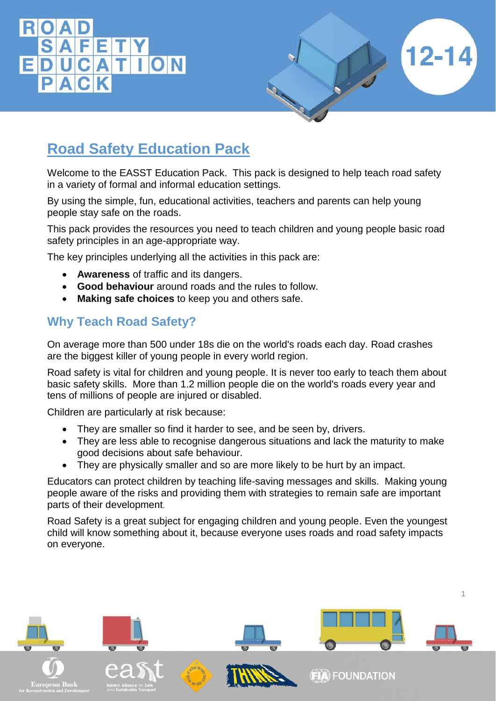# UCATI



### **Road Safety Education Pack**

Welcome to the EASST Education Pack. This pack is designed to help teach road safety in a variety of formal and informal education settings.

By using the simple, fun, educational activities, teachers and parents can help young people stay safe on the roads.

This pack provides the resources you need to teach children and young people basic road safety principles in an age-appropriate way.

The key principles underlying all the activities in this pack are:

- **Awareness** of traffic and its dangers.
- **Good behaviour** around roads and the rules to follow.
- **Making safe choices** to keep you and others safe.

### **Why Teach Road Safety?**

On average more than 500 under 18s die on the world's roads each day. Road crashes are the biggest killer of young people in every world region.

Road safety is vital for children and young people. It is never too early to teach them about basic safety skills. More than 1.2 million people die on the world's roads every year and tens of millions of people are injured or disabled.

Children are particularly at risk because:

- They are smaller so find it harder to see, and be seen by, drivers.
- They are less able to recognise dangerous situations and lack the maturity to make good decisions about safe behaviour.
- They are physically smaller and so are more likely to be hurt by an impact.

Educators can protect children by teaching life-saving messages and skills. Making young people aware of the risks and providing them with strategies to remain safe are important parts of their development.

Road Safety is a great subject for engaging children and young people. Even the youngest child will know something about it, because everyone uses roads and road safety impacts on everyone.

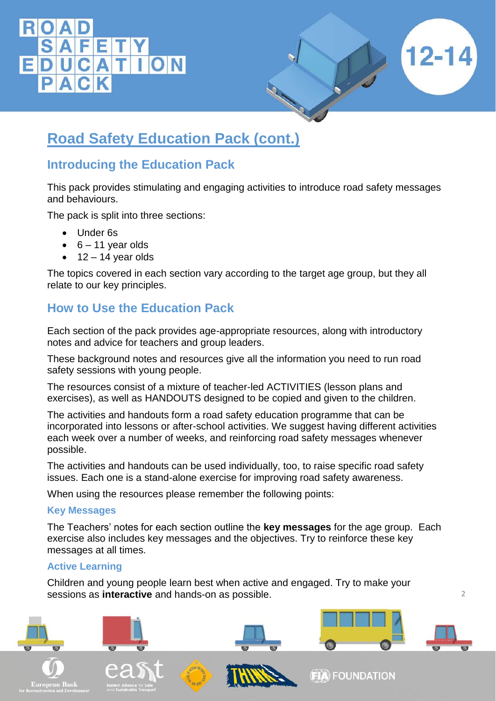

 $\overline{\phantom{a}}$ 

### **Road Safety Education Pack (cont.)**

### **Introducing the Education Pack**

This pack provides stimulating and engaging activities to introduce road safety messages and behaviours.

The pack is split into three sections:

- Under 6s
- $6 11$  year olds
- $\bullet$  12 14 year olds

The topics covered in each section vary according to the target age group, but they all relate to our key principles.

### **How to Use the Education Pack**

Each section of the pack provides age-appropriate resources, along with introductory notes and advice for teachers and group leaders.

These background notes and resources give all the information you need to run road safety sessions with young people.

The resources consist of a mixture of teacher-led ACTIVITIES (lesson plans and exercises), as well as HANDOUTS designed to be copied and given to the children.

The activities and handouts form a road safety education programme that can be incorporated into lessons or after-school activities. We suggest having different activities each week over a number of weeks, and reinforcing road safety messages whenever possible.

The activities and handouts can be used individually, too, to raise specific road safety issues. Each one is a stand-alone exercise for improving road safety awareness.

When using the resources please remember the following points:

#### **Key Messages**

The Teachers' notes for each section outline the **key messages** for the age group. Each exercise also includes key messages and the objectives. Try to reinforce these key messages at all times.

#### **Active Learning**

Children and young people learn best when active and engaged. Try to make your sessions as **interactive** and hands-on as possible.

**FIA** FOUNDATION luropean Ban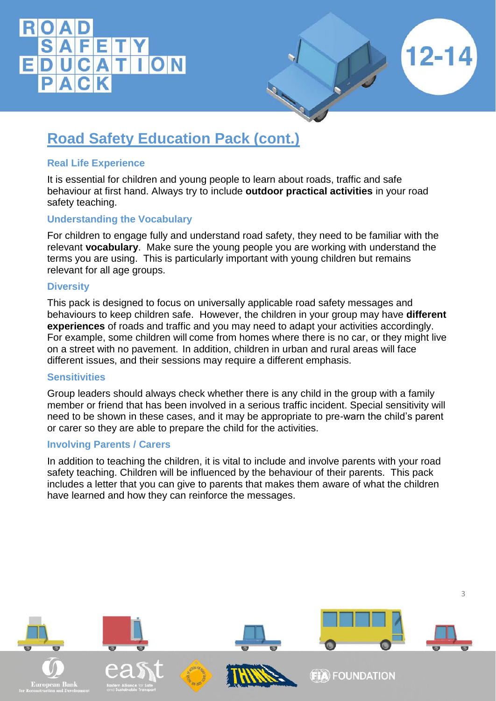

### **Road Safety Education Pack (cont.)**

#### **Real Life Experience**

It is essential for children and young people to learn about roads, traffic and safe behaviour at first hand. Always try to include **outdoor practical activities** in your road safety teaching.

#### **Understanding the Vocabulary**

For children to engage fully and understand road safety, they need to be familiar with the relevant **vocabulary**. Make sure the young people you are working with understand the terms you are using. This is particularly important with young children but remains relevant for all age groups.

#### **Diversity**

This pack is designed to focus on universally applicable road safety messages and behaviours to keep children safe. However, the children in your group may have **different experiences** of roads and traffic and you may need to adapt your activities accordingly. For example, some children will come from homes where there is no car, or they might live on a street with no pavement. In addition, children in urban and rural areas will face different issues, and their sessions may require a different emphasis.

#### **Sensitivities**

Group leaders should always check whether there is any child in the group with a family member or friend that has been involved in a serious traffic incident. Special sensitivity will need to be shown in these cases, and it may be appropriate to pre-warn the child's parent or carer so they are able to prepare the child for the activities.

#### **Involving Parents / Carers**

In addition to teaching the children, it is vital to include and involve parents with your road safety teaching. Children will be influenced by the behaviour of their parents. This pack includes a letter that you can give to parents that makes them aware of what the children have learned and how they can reinforce the messages.

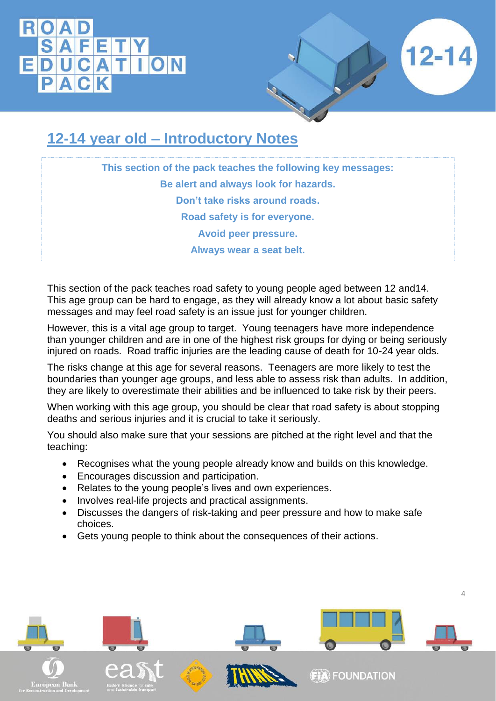

### **12-14 year old – Introductory Notes**

**This section of the pack teaches the following key messages: Be alert and always look for hazards. Don't take risks around roads. Road safety is for everyone. Avoid peer pressure. Always wear a seat belt.**

This section of the pack teaches road safety to young people aged between 12 and14. This age group can be hard to engage, as they will already know a lot about basic safety messages and may feel road safety is an issue just for younger children.

However, this is a vital age group to target. Young teenagers have more independence than younger children and are in one of the highest risk groups for dying or being seriously injured on roads. Road traffic injuries are the leading cause of death for 10-24 year olds.

The risks change at this age for several reasons. Teenagers are more likely to test the boundaries than younger age groups, and less able to assess risk than adults. In addition, they are likely to overestimate their abilities and be influenced to take risk by their peers.

When working with this age group, you should be clear that road safety is about stopping deaths and serious injuries and it is crucial to take it seriously.

You should also make sure that your sessions are pitched at the right level and that the teaching:

- Recognises what the young people already know and builds on this knowledge.
- Encourages discussion and participation.
- Relates to the young people's lives and own experiences.
- Involves real-life projects and practical assignments.
- Discusses the dangers of risk-taking and peer pressure and how to make safe choices.
- Gets young people to think about the consequences of their actions.

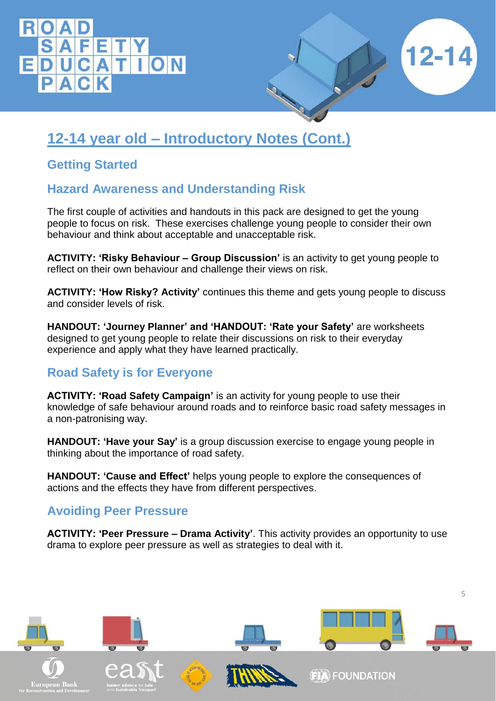

### **Getting Started**

### **Hazard Awareness and Understanding Risk**

The first couple of activities and handouts in this pack are designed to get the young people to focus on risk. These exercises challenge young people to consider their own behaviour and think about acceptable and unacceptable risk.

12-14

**ACTIVITY: 'Risky Behaviour – Group Discussion'** is an activity to get young people to reflect on their own behaviour and challenge their views on risk.

**ACTIVITY: 'How Risky? Activity'** continues this theme and gets young people to discuss and consider levels of risk.

**HANDOUT: 'Journey Planner' and 'HANDOUT: 'Rate your Safety'** are worksheets designed to get young people to relate their discussions on risk to their everyday experience and apply what they have learned practically.

### **Road Safety is for Everyone**

**ACTIVITY: 'Road Safety Campaign'** is an activity for young people to use their knowledge of safe behaviour around roads and to reinforce basic road safety messages in a non-patronising way.

**HANDOUT: 'Have your Say'** is a group discussion exercise to engage young people in thinking about the importance of road safety.

**HANDOUT: 'Cause and Effect'** helps young people to explore the consequences of actions and the effects they have from different perspectives.

### **Avoiding Peer Pressure**

**ACTIVITY: 'Peer Pressure – Drama Activity'**. This activity provides an opportunity to use drama to explore peer pressure as well as strategies to deal with it.

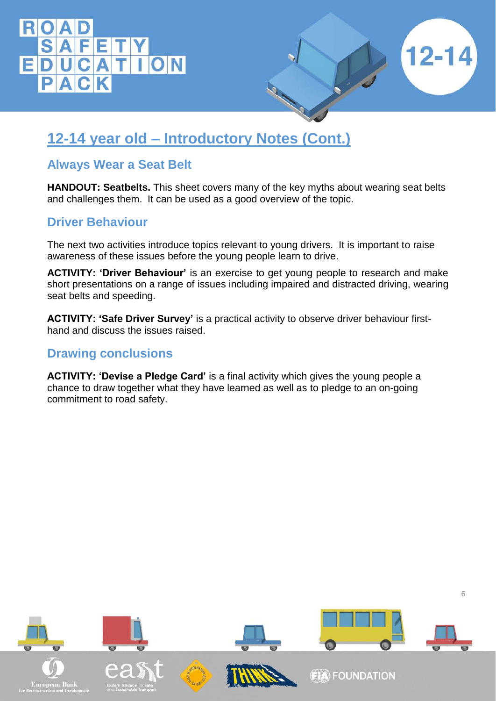### SAFEIY<br>DUCATI ON



#### **Always Wear a Seat Belt**

**HANDOUT: Seatbelts.** This sheet covers many of the key myths about wearing seat belts and challenges them. It can be used as a good overview of the topic.

### **Driver Behaviour**

The next two activities introduce topics relevant to young drivers. It is important to raise awareness of these issues before the young people learn to drive.

**ACTIVITY: 'Driver Behaviour'** is an exercise to get young people to research and make short presentations on a range of issues including impaired and distracted driving, wearing seat belts and speeding.

**ACTIVITY: 'Safe Driver Survey'** is a practical activity to observe driver behaviour firsthand and discuss the issues raised.

### **Drawing conclusions**

**ACTIVITY: 'Devise a Pledge Card'** is a final activity which gives the young people a chance to draw together what they have learned as well as to pledge to an on-going commitment to road safety.



6

 $12 - 14$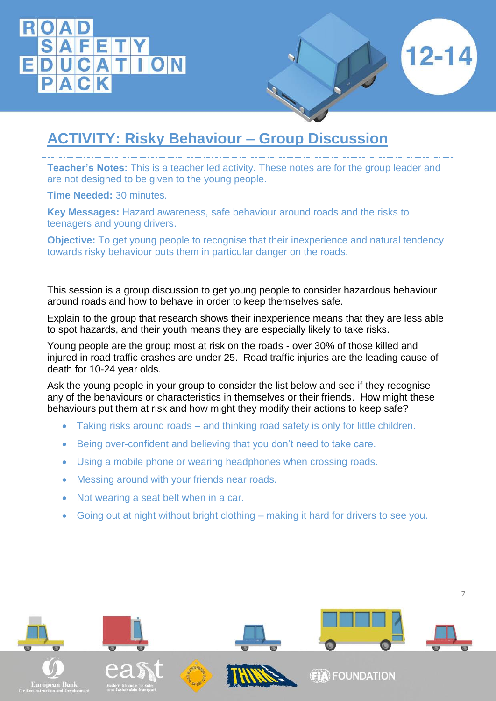## ON UCATI



### **ACTIVITY: Risky Behaviour – Group Discussion**

**Teacher's Notes:** This is a teacher led activity. These notes are for the group leader and are not designed to be given to the young people.

**Time Needed:** 30 minutes.

**Key Messages:** Hazard awareness, safe behaviour around roads and the risks to teenagers and young drivers.

**Objective:** To get young people to recognise that their inexperience and natural tendency towards risky behaviour puts them in particular danger on the roads.

This session is a group discussion to get young people to consider hazardous behaviour around roads and how to behave in order to keep themselves safe.

Explain to the group that research shows their inexperience means that they are less able to spot hazards, and their youth means they are especially likely to take risks.

Young people are the group most at risk on the roads - over 30% of those killed and injured in road traffic crashes are under 25. Road traffic injuries are the leading cause of death for 10-24 year olds.

Ask the young people in your group to consider the list below and see if they recognise any of the behaviours or characteristics in themselves or their friends. How might these behaviours put them at risk and how might they modify their actions to keep safe?

- Taking risks around roads and thinking road safety is only for little children.
- Being over-confident and believing that you don't need to take care.
- Using a mobile phone or wearing headphones when crossing roads.
- Messing around with your friends near roads.
- Not wearing a seat belt when in a car.
- Going out at night without bright clothing making it hard for drivers to see you.

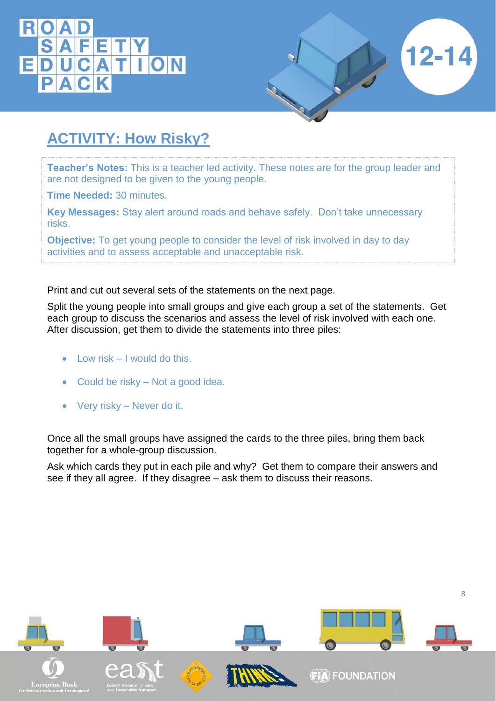

### **ACTIVITY: How Risky?**

**Teacher's Notes:** This is a teacher led activity. These notes are for the group leader and are not designed to be given to the young people.

**Time Needed:** 30 minutes.

**Key Messages:** Stay alert around roads and behave safely. Don't take unnecessary risks.

**Objective:** To get young people to consider the level of risk involved in day to day activities and to assess acceptable and unacceptable risk.

#### Print and cut out several sets of the statements on the next page.

Split the young people into small groups and give each group a set of the statements. Get each group to discuss the scenarios and assess the level of risk involved with each one. After discussion, get them to divide the statements into three piles:

- Low risk I would do this.
- Could be risky Not a good idea.
- Very risky Never do it.

Once all the small groups have assigned the cards to the three piles, bring them back together for a whole-group discussion.

Ask which cards they put in each pile and why? Get them to compare their answers and see if they all agree. If they disagree – ask them to discuss their reasons.

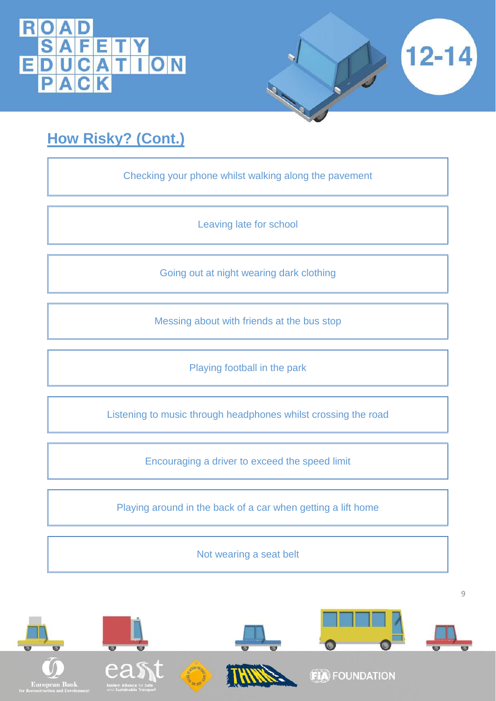### ROA **SAFETY<br>EDUCATION**



### **How Risky? (Cont.)**

Checking your phone whilst walking along the pavement

Leaving late for school

Going out at night wearing dark clothing

Messing about with friends at the bus stop

Playing football in the park

Listening to music through headphones whilst crossing the road

Encouraging a driver to exceed the speed limit

Playing around in the back of a car when getting a lift home

Not wearing a seat belt

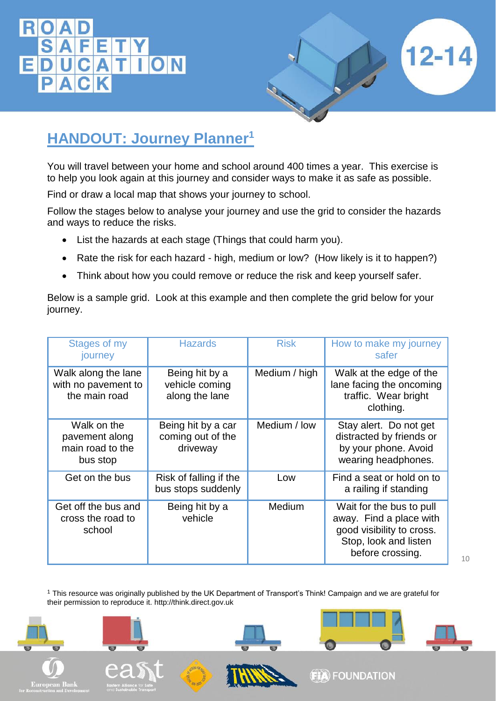### ī  $O<sub>N</sub>$ A



### **HANDOUT: Journey Planner<sup>1</sup>**

You will travel between your home and school around 400 times a year. This exercise is to help you look again at this journey and consider ways to make it as safe as possible.

Find or draw a local map that shows your journey to school.

Follow the stages below to analyse your journey and use the grid to consider the hazards and ways to reduce the risks.

- List the hazards at each stage (Things that could harm you).
- Rate the risk for each hazard high, medium or low? (How likely is it to happen?)
- Think about how you could remove or reduce the risk and keep yourself safer.

Below is a sample grid. Look at this example and then complete the grid below for your journey.

| Stages of my<br>journey                                       | <b>Hazards</b>                                      | <b>Risk</b>   | How to make my journey<br>safer                                                                                               |
|---------------------------------------------------------------|-----------------------------------------------------|---------------|-------------------------------------------------------------------------------------------------------------------------------|
| Walk along the lane<br>with no pavement to<br>the main road   | Being hit by a<br>vehicle coming<br>along the lane  | Medium / high | Walk at the edge of the<br>lane facing the oncoming<br>traffic. Wear bright<br>clothing.                                      |
| Walk on the<br>pavement along<br>main road to the<br>bus stop | Being hit by a car<br>coming out of the<br>driveway | Medium / low  | Stay alert. Do not get<br>distracted by friends or<br>by your phone. Avoid<br>wearing headphones.                             |
| Get on the bus                                                | Risk of falling if the<br>bus stops suddenly        | Low           | Find a seat or hold on to<br>a railing if standing                                                                            |
| Get off the bus and<br>cross the road to<br>school            | Being hit by a<br>vehicle                           | Medium        | Wait for the bus to pull<br>away. Find a place with<br>good visibility to cross.<br>Stop, look and listen<br>before crossing. |

<sup>1</sup> This resource was originally published by the UK Department of Transport's Think! Campaign and we are grateful for their permission to reproduce it. http://think.direct.gov.uk







**FIA** FOUNDATION

10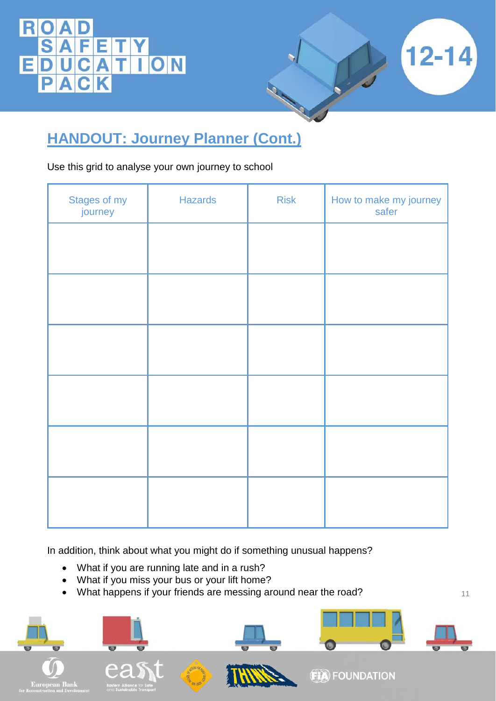#### **RO** ET SAFETY<br>DUCATI ON E  $\overline{\mathbb{A}}$  $\overline{\mathbf{C}}$  $\overline{\mathsf{K}}$ P



11

### **HANDOUT: Journey Planner (Cont.)**

Use this grid to analyse your own journey to school

| Stages of my<br>journey | <b>Hazards</b> | <b>Risk</b> | How to make my journey<br>safer |  |
|-------------------------|----------------|-------------|---------------------------------|--|
|                         |                |             |                                 |  |
|                         |                |             |                                 |  |
|                         |                |             |                                 |  |
|                         |                |             |                                 |  |
|                         |                |             |                                 |  |
|                         |                |             |                                 |  |

In addition, think about what you might do if something unusual happens?

- What if you are running late and in a rush?
- What if you miss your bus or your lift home?
- What happens if your friends are messing around near the road?

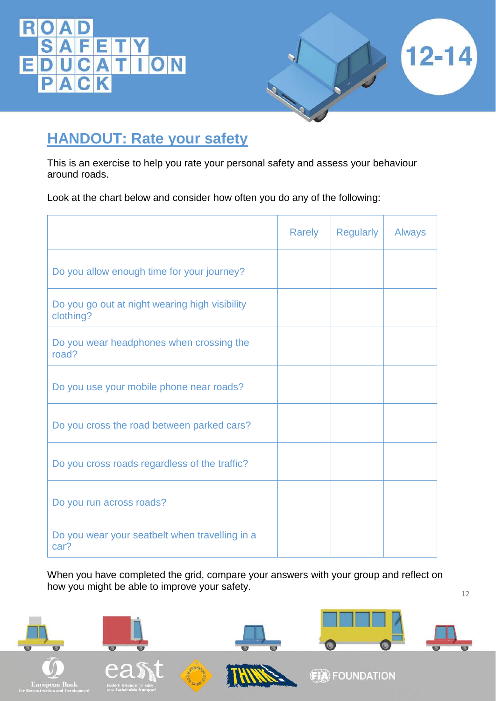#### R  $\overline{\mathbb{T}}$ E <u>AFEIY</u> ON E  $\overline{\mathbb{A}}$  $\overline{\mathbf{C}}$ P



12

### **HANDOUT: Rate your safety**

This is an exercise to help you rate your personal safety and assess your behaviour around roads.

Look at the chart below and consider how often you do any of the following:

|                                                             | <b>Rarely</b> | <b>Regularly</b> | <b>Always</b> |
|-------------------------------------------------------------|---------------|------------------|---------------|
| Do you allow enough time for your journey?                  |               |                  |               |
| Do you go out at night wearing high visibility<br>clothing? |               |                  |               |
| Do you wear headphones when crossing the<br>road?           |               |                  |               |
| Do you use your mobile phone near roads?                    |               |                  |               |
| Do you cross the road between parked cars?                  |               |                  |               |
| Do you cross roads regardless of the traffic?               |               |                  |               |
| Do you run across roads?                                    |               |                  |               |
| Do you wear your seatbelt when travelling in a<br>car?      |               |                  |               |

When you have completed the grid, compare your answers with your group and reflect on how you might be able to improve your safety.

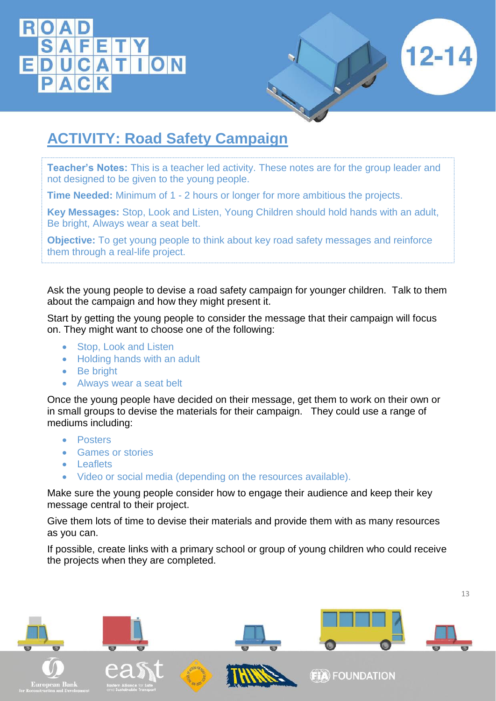

### **ACTIVITY: Road Safety Campaign**

**Teacher's Notes:** This is a teacher led activity. These notes are for the group leader and not designed to be given to the young people.

**Time Needed:** Minimum of 1 - 2 hours or longer for more ambitious the projects.

**Key Messages:** Stop, Look and Listen, Young Children should hold hands with an adult, Be bright, Always wear a seat belt.

**Objective:** To get young people to think about key road safety messages and reinforce them through a real-life project.

Ask the young people to devise a road safety campaign for younger children. Talk to them about the campaign and how they might present it.

Start by getting the young people to consider the message that their campaign will focus on. They might want to choose one of the following:

- Stop, Look and Listen
- Holding hands with an adult
- Be bright
- Always wear a seat belt

Once the young people have decided on their message, get them to work on their own or in small groups to devise the materials for their campaign. They could use a range of mediums including:

- **•** Posters
- **•** Games or stories
- Leaflets
- Video or social media (depending on the resources available).

Make sure the young people consider how to engage their audience and keep their key message central to their project.

Give them lots of time to devise their materials and provide them with as many resources as you can.

If possible, create links with a primary school or group of young children who could receive the projects when they are completed.

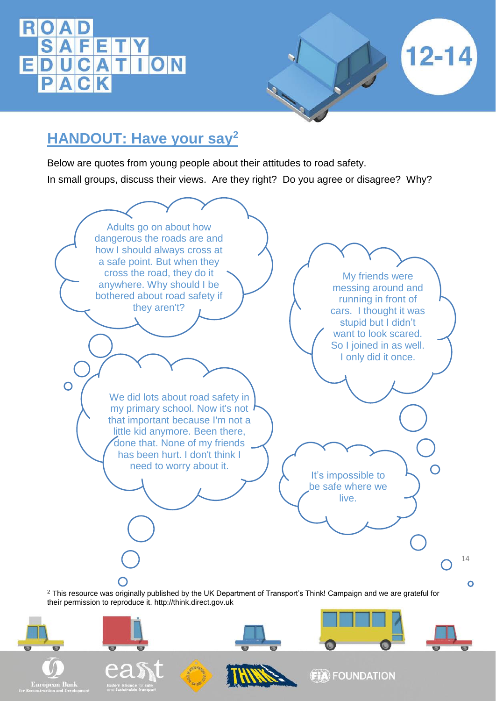## ROA **SAFETY<br>EDUCATION**

European Banl



### **HANDOUT: Have your say<sup>2</sup>**

Below are quotes from young people about their attitudes to road safety. In small groups, discuss their views. Are they right? Do you agree or disagree? Why?



**FIA** FOUNDATION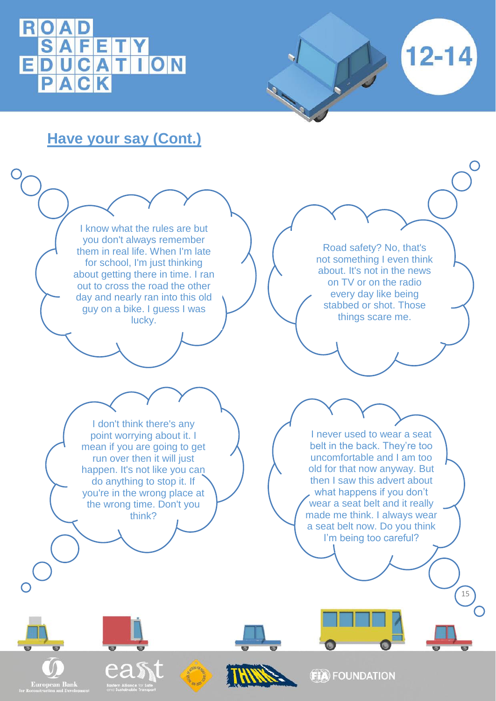



### **Have your say (Cont.)**

I know what the rules are but you don't always remember them in real life. When I'm late for school, I'm just thinking about getting there in time. I ran out to cross the road the other day and nearly ran into this old guy on a bike. I guess I was lucky.

Road safety? No, that's not something I even think about. It's not in the news on TV or on the radio every day like being stabbed or shot. Those things scare me.

I don't think there's any point worrying about it. I mean if you are going to get run over then it will just happen. It's not like you can do anything to stop it. If you're in the wrong place at the wrong time. Don't you think?

I never used to wear a seat belt in the back. They're too uncomfortable and I am too old for that now anyway. But then I saw this advert about what happens if you don't wear a seat belt and it really made me think. I always wear a seat belt now. Do you think I'm being too careful?

15

European Bank





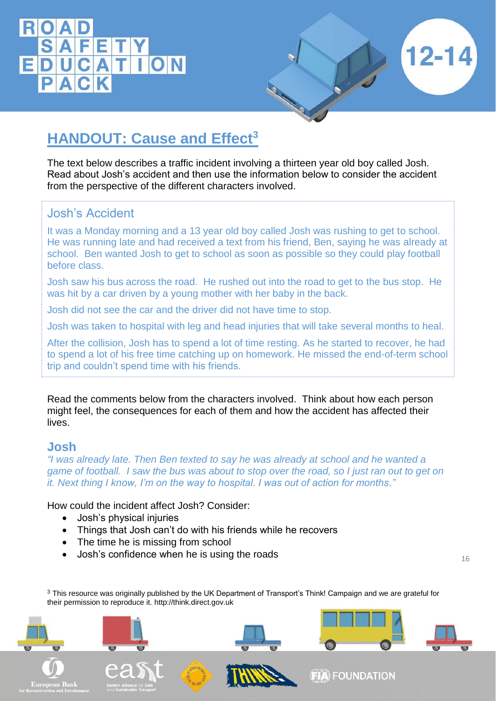# DUCATI



### **HANDOUT: Cause and Effect<sup>3</sup>**

The text below describes a traffic incident involving a thirteen year old boy called Josh. Read about Josh's accident and then use the information below to consider the accident from the perspective of the different characters involved.

### Josh's Accident

It was a Monday morning and a 13 year old boy called Josh was rushing to get to school. He was running late and had received a text from his friend, Ben, saying he was already at school. Ben wanted Josh to get to school as soon as possible so they could play football before class.

Josh saw his bus across the road. He rushed out into the road to get to the bus stop. He was hit by a car driven by a young mother with her baby in the back.

Josh did not see the car and the driver did not have time to stop.

Josh was taken to hospital with leg and head injuries that will take several months to heal.

After the collision, Josh has to spend a lot of time resting. As he started to recover, he had to spend a lot of his free time catching up on homework. He missed the end-of-term school trip and couldn't spend time with his friends.

Read the comments below from the characters involved. Think about how each person might feel, the consequences for each of them and how the accident has affected their lives.

#### **Josh**

*"I was already late. Then Ben texted to say he was already at school and he wanted a game of football. I saw the bus was about to stop over the road, so I just ran out to get on it. Next thing I know, I'm on the way to hospital. I was out of action for months."*

How could the incident affect Josh? Consider:

- Josh's physical injuries
- Things that Josh can't do with his friends while he recovers
- The time he is missing from school
- Josh's confidence when he is using the roads

16

<sup>3</sup> This resource was originally published by the UK Department of Transport's Think! Campaign and we are grateful for their permission to reproduce it. http://think.direct.gov.uk

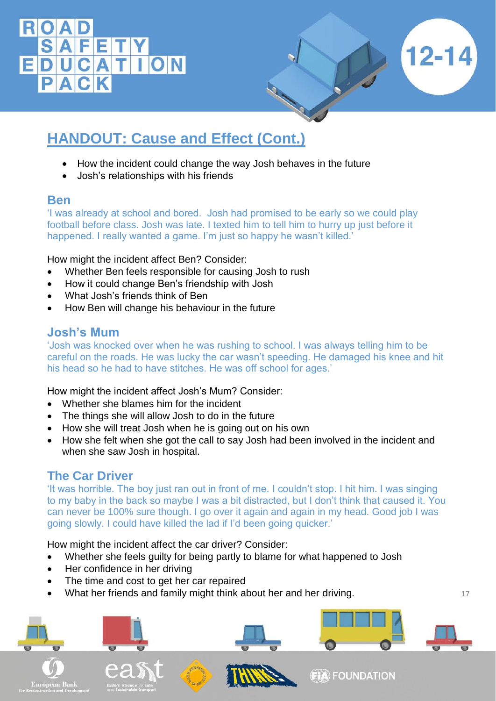

### **HANDOUT: Cause and Effect (Cont.)**

- How the incident could change the way Josh behaves in the future
- Josh's relationships with his friends

#### **Ben**

'I was already at school and bored. Josh had promised to be early so we could play football before class. Josh was late. I texted him to tell him to hurry up just before it happened. I really wanted a game. I'm just so happy he wasn't killed.'

How might the incident affect Ben? Consider:

- Whether Ben feels responsible for causing Josh to rush
- How it could change Ben's friendship with Josh
- What Josh's friends think of Ben
- How Ben will change his behaviour in the future

### **Josh's Mum**

'Josh was knocked over when he was rushing to school. I was always telling him to be careful on the roads. He was lucky the car wasn't speeding. He damaged his knee and hit his head so he had to have stitches. He was off school for ages.'

How might the incident affect Josh's Mum? Consider:

- Whether she blames him for the incident
- The things she will allow Josh to do in the future
- How she will treat Josh when he is going out on his own
- How she felt when she got the call to say Josh had been involved in the incident and when she saw Josh in hospital.

### **The Car Driver**

'It was horrible. The boy just ran out in front of me. I couldn't stop. I hit him. I was singing to my baby in the back so maybe I was a bit distracted, but I don't think that caused it. You can never be 100% sure though. I go over it again and again in my head. Good job I was going slowly. I could have killed the lad if I'd been going quicker.'

How might the incident affect the car driver? Consider:

- Whether she feels guilty for being partly to blame for what happened to Josh
- Her confidence in her driving
- The time and cost to get her car repaired
- What her friends and family might think about her and her driving.

17

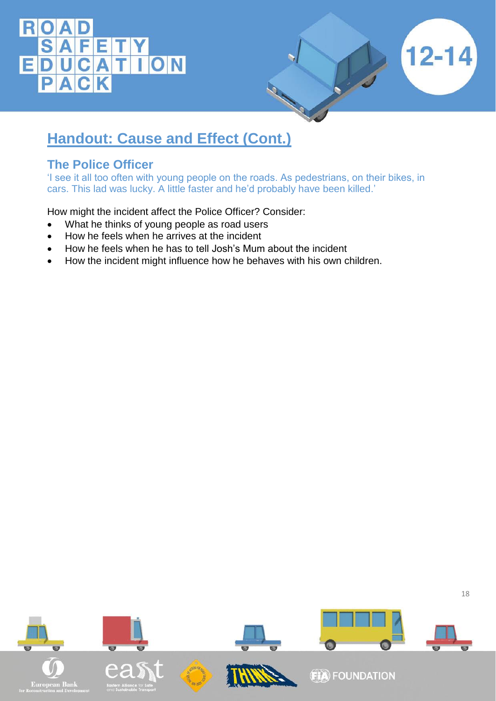### RO A **SAFETY<br>EDUCATION**



### **Handout: Cause and Effect (Cont.)**

### **The Police Officer**

'I see it all too often with young people on the roads. As pedestrians, on their bikes, in cars. This lad was lucky. A little faster and he'd probably have been killed.'

How might the incident affect the Police Officer? Consider:

- What he thinks of young people as road users
- How he feels when he arrives at the incident
- How he feels when he has to tell Josh's Mum about the incident
- How the incident might influence how he behaves with his own children.

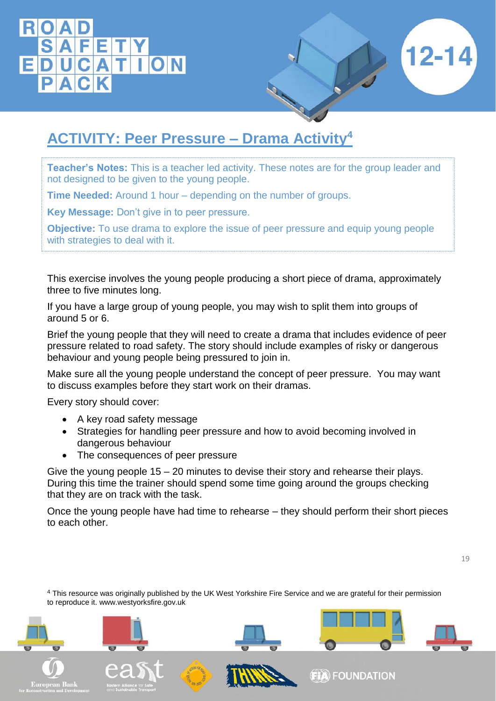

### **ACTIVITY: Peer Pressure – Drama Activity<sup>4</sup>**

**Teacher's Notes:** This is a teacher led activity. These notes are for the group leader and not designed to be given to the young people.

**Time Needed:** Around 1 hour – depending on the number of groups.

**Key Message:** Don't give in to peer pressure.

**Objective:** To use drama to explore the issue of peer pressure and equip young people with strategies to deal with it.

This exercise involves the young people producing a short piece of drama, approximately three to five minutes long.

If you have a large group of young people, you may wish to split them into groups of around 5 or 6.

Brief the young people that they will need to create a drama that includes evidence of peer pressure related to road safety. The story should include examples of risky or dangerous behaviour and young people being pressured to join in.

Make sure all the young people understand the concept of peer pressure. You may want to discuss examples before they start work on their dramas.

Every story should cover:

- A key road safety message
- Strategies for handling peer pressure and how to avoid becoming involved in dangerous behaviour
- The consequences of peer pressure

Give the young people 15 – 20 minutes to devise their story and rehearse their plays. During this time the trainer should spend some time going around the groups checking that they are on track with the task.

Once the young people have had time to rehearse – they should perform their short pieces to each other.

<sup>4</sup> This resource was originally published by the UK West Yorkshire Fire Service and we are grateful for their permission to reproduce it. www.westyorksfire.gov.uk

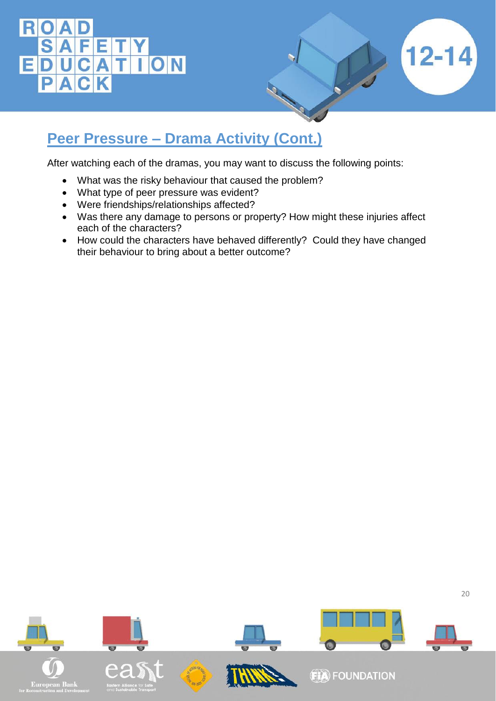#### **RO** SAFEITY<br>DUCATION E  $|\mathbf{C}|$  $\overline{\mathsf{K}}$ P A



### **Peer Pressure – Drama Activity (Cont.)**

After watching each of the dramas, you may want to discuss the following points:

- What was the risky behaviour that caused the problem?
- What type of peer pressure was evident?
- Were friendships/relationships affected?
- Was there any damage to persons or property? How might these injuries affect each of the characters?
- How could the characters have behaved differently? Could they have changed their behaviour to bring about a better outcome?

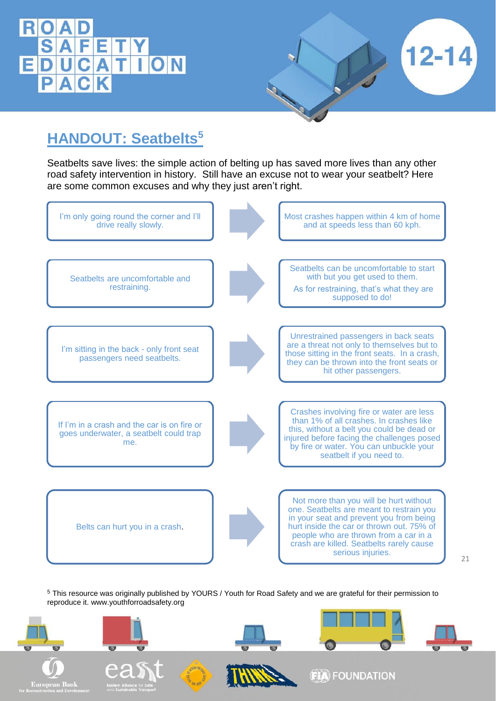

### **HANDOUT: Seatbelts<sup>5</sup>**

Seatbelts save lives: the simple action of belting up has saved more lives than any other road safety intervention in history. Still have an excuse not to wear your seatbelt? Here are some common excuses and why they just aren't right.



<sup>5</sup> This resource was originally published by YOURS / Youth for Road Safety and we are grateful for their permission to reproduce it. www.youthforroadsafety.org

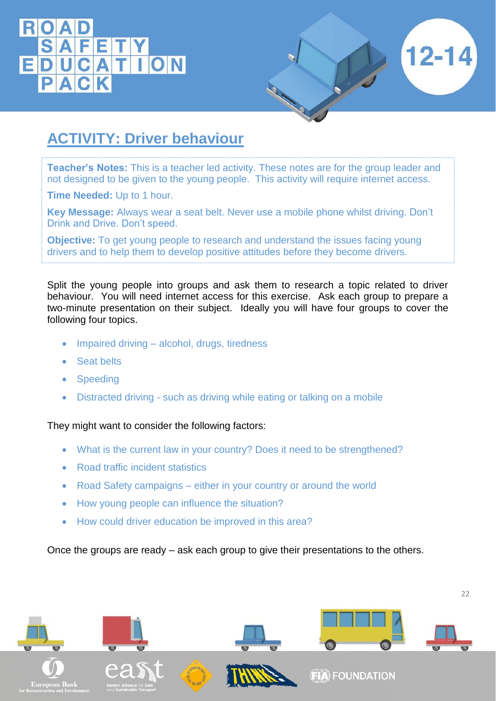### DUCATI ON E



### **ACTIVITY: Driver behaviour**

**Teacher's Notes:** This is a teacher led activity. These notes are for the group leader and not designed to be given to the young people. This activity will require internet access.

**Time Needed:** Up to 1 hour.

**Key Message:** Always wear a seat belt. Never use a mobile phone whilst driving. Don't Drink and Drive. Don't speed.

**Objective:** To get young people to research and understand the issues facing young drivers and to help them to develop positive attitudes before they become drivers.

Split the young people into groups and ask them to research a topic related to driver behaviour. You will need internet access for this exercise. Ask each group to prepare a two-minute presentation on their subject. Ideally you will have four groups to cover the following four topics.

- Impaired driving alcohol, drugs, tiredness
- Seat belts
- Speeding
- Distracted driving such as driving while eating or talking on a mobile

They might want to consider the following factors:

- What is the current law in your country? Does it need to be strengthened?
- Road traffic incident statistics
- Road Safety campaigns either in your country or around the world
- How young people can influence the situation?
- How could driver education be improved in this area?

Once the groups are ready – ask each group to give their presentations to the others.

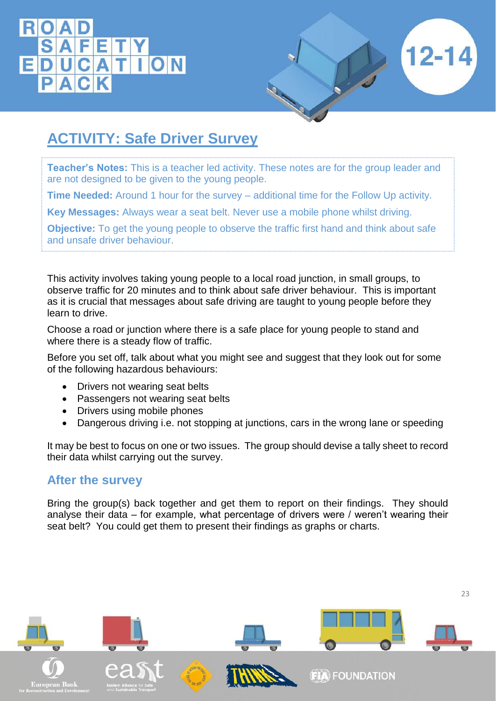

### **ACTIVITY: Safe Driver Survey**

**Teacher's Notes:** This is a teacher led activity. These notes are for the group leader and are not designed to be given to the young people.

**Time Needed:** Around 1 hour for the survey – additional time for the Follow Up activity.

**Key Messages:** Always wear a seat belt. Never use a mobile phone whilst driving.

**Objective:** To get the young people to observe the traffic first hand and think about safe and unsafe driver behaviour.

This activity involves taking young people to a local road junction, in small groups, to observe traffic for 20 minutes and to think about safe driver behaviour. This is important as it is crucial that messages about safe driving are taught to young people before they learn to drive.

Choose a road or junction where there is a safe place for young people to stand and where there is a steady flow of traffic.

Before you set off, talk about what you might see and suggest that they look out for some of the following hazardous behaviours:

- Drivers not wearing seat belts
- Passengers not wearing seat belts
- Drivers using mobile phones
- Dangerous driving i.e. not stopping at junctions, cars in the wrong lane or speeding

It may be best to focus on one or two issues. The group should devise a tally sheet to record their data whilst carrying out the survey.

#### **After the survey**

Bring the group(s) back together and get them to report on their findings. They should analyse their data – for example, what percentage of drivers were / weren't wearing their seat belt? You could get them to present their findings as graphs or charts.

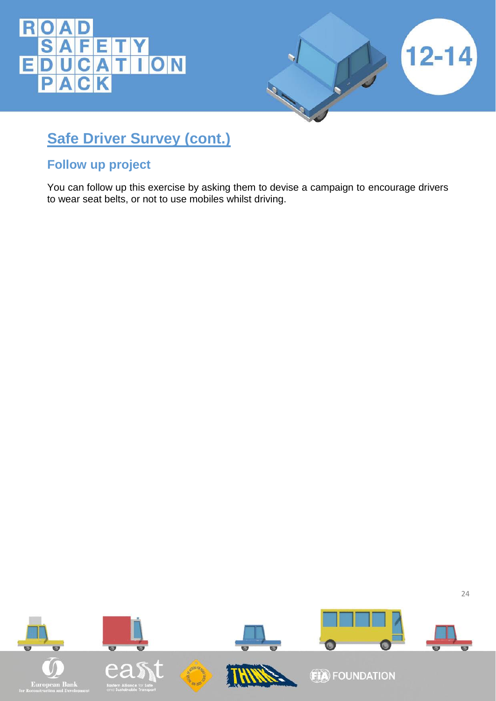



### **Safe Driver Survey (cont.)**

### **Follow up project**

You can follow up this exercise by asking them to devise a campaign to encourage drivers to wear seat belts, or not to use mobiles whilst driving.

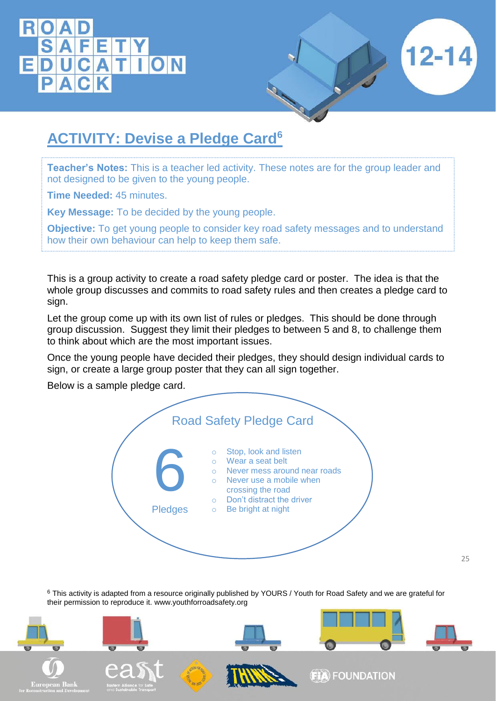

### **ACTIVITY: Devise a Pledge Card<sup>6</sup>**

**Teacher's Notes:** This is a teacher led activity. These notes are for the group leader and not designed to be given to the young people.

**Time Needed:** 45 minutes.

**Key Message:** To be decided by the young people.

**Objective:** To get young people to consider key road safety messages and to understand how their own behaviour can help to keep them safe.

This is a group activity to create a road safety pledge card or poster. The idea is that the whole group discusses and commits to road safety rules and then creates a pledge card to sign.

Let the group come up with its own list of rules or pledges. This should be done through group discussion. Suggest they limit their pledges to between 5 and 8, to challenge them to think about which are the most important issues.

Once the young people have decided their pledges, they should design individual cards to sign, or create a large group poster that they can all sign together.

Below is a sample pledge card.



<sup>6</sup> This activity is adapted from a resource originally published by YOURS / Youth for Road Safety and we are grateful for their permission to reproduce it. www.youthforroadsafety.org

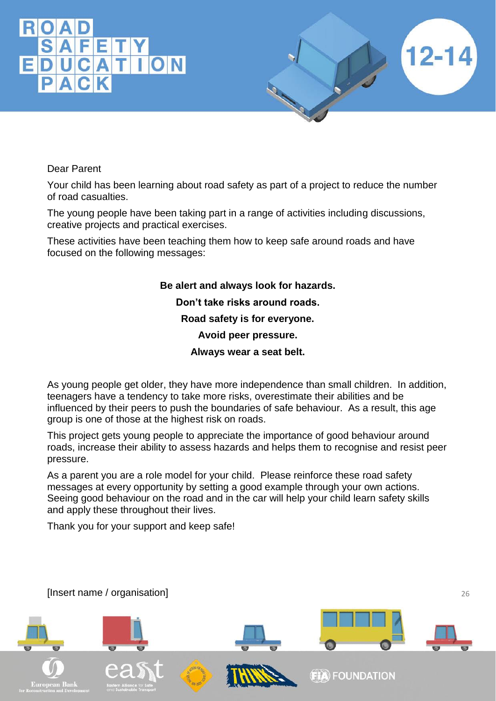# UCAT



Dear Parent

Your child has been learning about road safety as part of a project to reduce the number of road casualties.

The young people have been taking part in a range of activities including discussions, creative projects and practical exercises.

These activities have been teaching them how to keep safe around roads and have focused on the following messages:

> **Be alert and always look for hazards. Don't take risks around roads. Road safety is for everyone. Avoid peer pressure. Always wear a seat belt.**

As young people get older, they have more independence than small children. In addition, teenagers have a tendency to take more risks, overestimate their abilities and be influenced by their peers to push the boundaries of safe behaviour. As a result, this age group is one of those at the highest risk on roads.

This project gets young people to appreciate the importance of good behaviour around roads, increase their ability to assess hazards and helps them to recognise and resist peer pressure.

As a parent you are a role model for your child. Please reinforce these road safety messages at every opportunity by setting a good example through your own actions. Seeing good behaviour on the road and in the car will help your child learn safety skills and apply these throughout their lives.

Thank you for your support and keep safe!